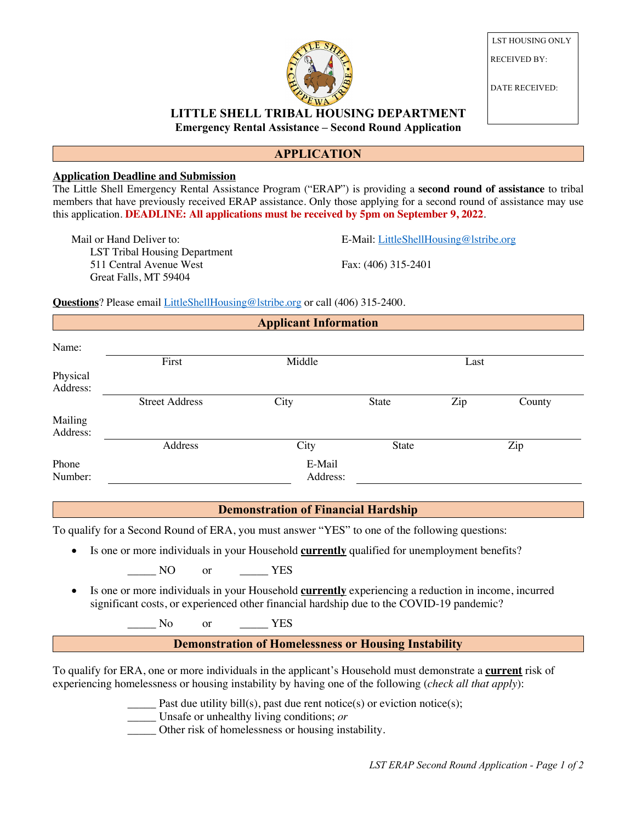

LST HOUSING ONLY RECEIVED BY:

DATE RECEIVED:

## **LITTLE SHELL TRIBAL HOUSING DEPARTMENT Emergency Rental Assistance – Second Round Application**

## **APPLICATION**

#### **Application Deadline and Submission**

The Little Shell Emergency Rental Assistance Program ("ERAP") is providing a **second round of assistance** to tribal members that have previously received ERAP assistance. Only those applying for a second round of assistance may use this application. **DEADLINE: All applications must be received by 5pm on September 9, 2022**.

Mail or Hand Deliver to: LST Tribal Housing Department 511 Central Avenue West Great Falls, MT 59404

E-Mail: LittleShellHousing@lstribe.org

Fax: (406) 315-2401

**Questions**? Please email LittleShellHousing@lstribe.org or call (406) 315-2400.

| <b>Applicant Information</b> |                    |       |     |        |  |
|------------------------------|--------------------|-------|-----|--------|--|
|                              |                    |       |     |        |  |
| First                        | Middle             | Last  |     |        |  |
|                              |                    |       |     |        |  |
| <b>Street Address</b>        | City               | State | Zip | County |  |
|                              |                    |       |     |        |  |
| Address                      | City               | State |     | Zip    |  |
|                              | E-Mail<br>Address: |       |     |        |  |
|                              |                    |       |     |        |  |

### **Demonstration of Financial Hardship**

To qualify for a Second Round of ERA, you must answer "YES" to one of the following questions:

• Is one or more individuals in your Household **currently** qualified for unemployment benefits?

NO or YES

- 
- Is one or more individuals in your Household **currently** experiencing a reduction in income, incurred significant costs, or experienced other financial hardship due to the COVID-19 pandemic?

No or YES

**Demonstration of Homelessness or Housing Instability** 

To qualify for ERA, one or more individuals in the applicant's Household must demonstrate a **current** risk of experiencing homelessness or housing instability by having one of the following (*check all that apply*):

Past due utility bill(s), past due rent notice(s) or eviction notice(s);

\_\_\_\_\_ Unsafe or unhealthy living conditions; *or*

\_\_\_\_\_ Other risk of homelessness or housing instability.